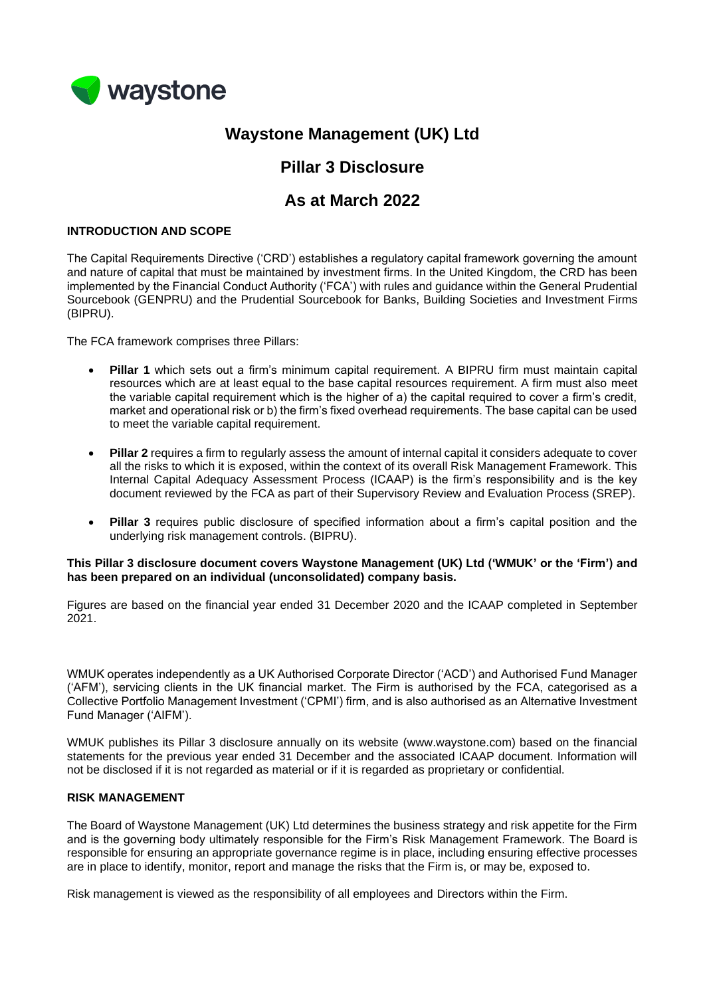

# **Waystone Management (UK) Ltd**

## **Pillar 3 Disclosure**

## **As at March 2022**

### **INTRODUCTION AND SCOPE**

The Capital Requirements Directive ('CRD') establishes a regulatory capital framework governing the amount and nature of capital that must be maintained by investment firms. In the United Kingdom, the CRD has been implemented by the Financial Conduct Authority ('FCA') with rules and guidance within the General Prudential Sourcebook (GENPRU) and the Prudential Sourcebook for Banks, Building Societies and Investment Firms (BIPRU).

The FCA framework comprises three Pillars:

- **Pillar 1** which sets out a firm's minimum capital requirement. A BIPRU firm must maintain capital resources which are at least equal to the base capital resources requirement. A firm must also meet the variable capital requirement which is the higher of a) the capital required to cover a firm's credit, market and operational risk or b) the firm's fixed overhead requirements. The base capital can be used to meet the variable capital requirement.
- **Pillar 2** requires a firm to regularly assess the amount of internal capital it considers adequate to cover all the risks to which it is exposed, within the context of its overall Risk Management Framework. This Internal Capital Adequacy Assessment Process (ICAAP) is the firm's responsibility and is the key document reviewed by the FCA as part of their Supervisory Review and Evaluation Process (SREP).
- **Pillar 3** requires public disclosure of specified information about a firm's capital position and the underlying risk management controls. (BIPRU).

#### **This Pillar 3 disclosure document covers Waystone Management (UK) Ltd ('WMUK' or the 'Firm') and has been prepared on an individual (unconsolidated) company basis.**

Figures are based on the financial year ended 31 December 2020 and the ICAAP completed in September 2021.

WMUK operates independently as a UK Authorised Corporate Director ('ACD') and Authorised Fund Manager ('AFM'), servicing clients in the UK financial market. The Firm is authorised by the FCA, categorised as a Collective Portfolio Management Investment ('CPMI') firm, and is also authorised as an Alternative Investment Fund Manager ('AIFM').

WMUK publishes its Pillar 3 disclosure annually on its website (www.waystone.com) based on the financial statements for the previous year ended 31 December and the associated ICAAP document. Information will not be disclosed if it is not regarded as material or if it is regarded as proprietary or confidential.

#### **RISK MANAGEMENT**

The Board of Waystone Management (UK) Ltd determines the business strategy and risk appetite for the Firm and is the governing body ultimately responsible for the Firm's Risk Management Framework. The Board is responsible for ensuring an appropriate governance regime is in place, including ensuring effective processes are in place to identify, monitor, report and manage the risks that the Firm is, or may be, exposed to.

Risk management is viewed as the responsibility of all employees and Directors within the Firm.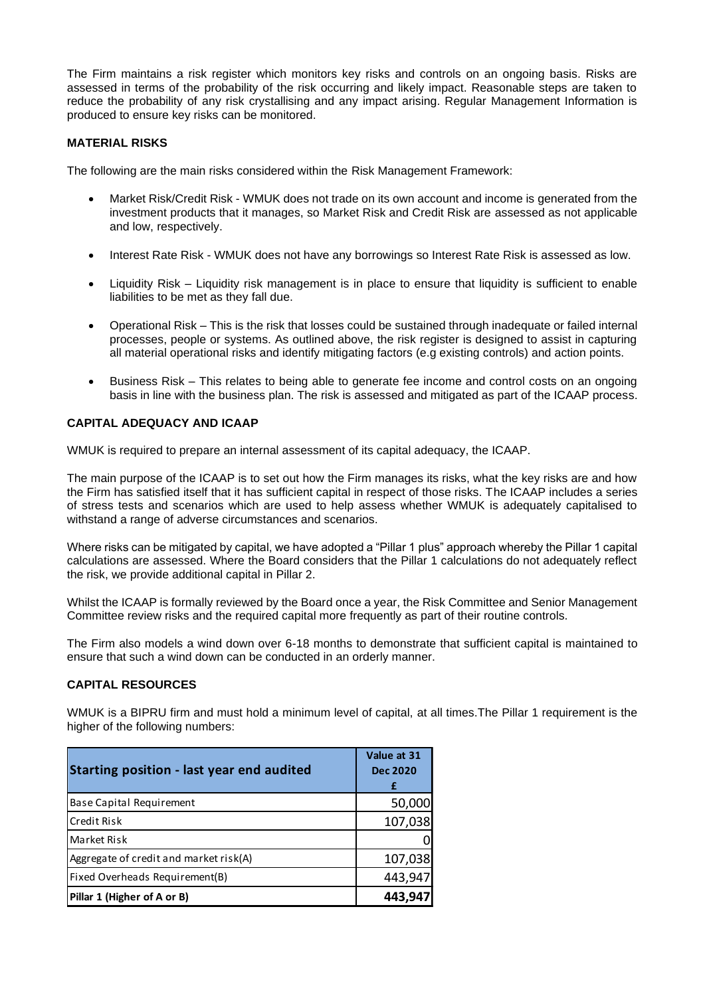The Firm maintains a risk register which monitors key risks and controls on an ongoing basis. Risks are assessed in terms of the probability of the risk occurring and likely impact. Reasonable steps are taken to reduce the probability of any risk crystallising and any impact arising. Regular Management Information is produced to ensure key risks can be monitored.

## **MATERIAL RISKS**

The following are the main risks considered within the Risk Management Framework:

- Market Risk/Credit Risk WMUK does not trade on its own account and income is generated from the investment products that it manages, so Market Risk and Credit Risk are assessed as not applicable and low, respectively.
- Interest Rate Risk WMUK does not have any borrowings so Interest Rate Risk is assessed as low.
- Liquidity Risk Liquidity risk management is in place to ensure that liquidity is sufficient to enable liabilities to be met as they fall due.
- Operational Risk This is the risk that losses could be sustained through inadequate or failed internal processes, people or systems. As outlined above, the risk register is designed to assist in capturing all material operational risks and identify mitigating factors (e.g existing controls) and action points.
- Business Risk This relates to being able to generate fee income and control costs on an ongoing basis in line with the business plan. The risk is assessed and mitigated as part of the ICAAP process.

### **CAPITAL ADEQUACY AND ICAAP**

WMUK is required to prepare an internal assessment of its capital adequacy, the ICAAP.

The main purpose of the ICAAP is to set out how the Firm manages its risks, what the key risks are and how the Firm has satisfied itself that it has sufficient capital in respect of those risks. The ICAAP includes a series of stress tests and scenarios which are used to help assess whether WMUK is adequately capitalised to withstand a range of adverse circumstances and scenarios.

Where risks can be mitigated by capital, we have adopted a "Pillar 1 plus" approach whereby the Pillar 1 capital calculations are assessed. Where the Board considers that the Pillar 1 calculations do not adequately reflect the risk, we provide additional capital in Pillar 2.

Whilst the ICAAP is formally reviewed by the Board once a year, the Risk Committee and Senior Management Committee review risks and the required capital more frequently as part of their routine controls.

The Firm also models a wind down over 6-18 months to demonstrate that sufficient capital is maintained to ensure that such a wind down can be conducted in an orderly manner.

#### **CAPITAL RESOURCES**

WMUK is a BIPRU firm and must hold a minimum level of capital, at all times.The Pillar 1 requirement is the higher of the following numbers:

| Starting position - last year end audited | Value at 31<br><b>Dec 2020</b><br>£ |
|-------------------------------------------|-------------------------------------|
| Base Capital Requirement                  | 50,000                              |
| lCredit Risk                              | 107,038                             |
| Market Risk                               |                                     |
| Aggregate of credit and market risk(A)    | 107,038                             |
| Fixed Overheads Requirement(B)            | 443,947                             |
| Pillar 1 (Higher of A or B)               | 443,947                             |